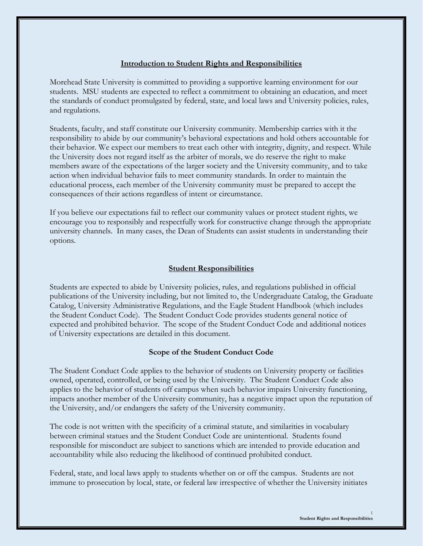# **Introduction to Student Rights and Responsibilities**

Morehead State University is committed to providing a supportive learning environment for our students. MSU students are expected to reflect a commitment to obtaining an education, and meet the standards of conduct promulgated by federal, state, and local laws and University policies, rules, and regulations.

Students, faculty, and staff constitute our University community. Membership carries with it the responsibility to abide by our community's behavioral expectations and hold others accountable for their behavior. We expect our members to treat each other with integrity, dignity, and respect. While the University does not regard itself as the arbiter of morals, we do reserve the right to make members aware of the expectations of the larger society and the University community, and to take action when individual behavior fails to meet community standards. In order to maintain the educational process, each member of the University community must be prepared to accept the consequences of their actions regardless of intent or circumstance.

If you believe our expectations fail to reflect our community values or protect student rights, we encourage you to responsibly and respectfully work for constructive change through the appropriate university channels. In many cases, the Dean of Students can assist students in understanding their options.

# **Student Responsibilities**

Students are expected to abide by University policies, rules, and regulations published in official publications of the University including, but not limited to, the Undergraduate Catalog, the Graduate Catalog, University Administrative Regulations, and the Eagle Student Handbook (which includes the Student Conduct Code). The Student Conduct Code provides students general notice of expected and prohibited behavior. The scope of the Student Conduct Code and additional notices of University expectations are detailed in this document.

## **Scope of the Student Conduct Code**

The Student Conduct Code applies to the behavior of students on University property or facilities owned, operated, controlled, or being used by the University. The Student Conduct Code also applies to the behavior of students off campus when such behavior impairs University functioning, impacts another member of the University community, has a negative impact upon the reputation of the University, and/or endangers the safety of the University community.

The code is not written with the specificity of a criminal statute, and similarities in vocabulary between criminal statues and the Student Conduct Code are unintentional. Students found responsible for misconduct are subject to sanctions which are intended to provide education and accountability while also reducing the likelihood of continued prohibited conduct.

Federal, state, and local laws apply to students whether on or off the campus. Students are not immune to prosecution by local, state, or federal law irrespective of whether the University initiates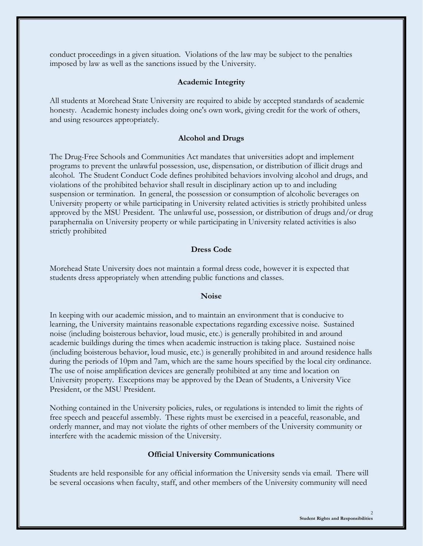conduct proceedings in a given situation. Violations of the law may be subject to the penalties imposed by law as well as the sanctions issued by the University.

### **Academic Integrity**

All students at Morehead State University are required to abide by accepted standards of academic honesty. Academic honesty includes doing one's own work, giving credit for the work of others, and using resources appropriately.

#### **Alcohol and Drugs**

The Drug-Free Schools and Communities Act mandates that universities adopt and implement programs to prevent the unlawful possession, use, dispensation, or distribution of illicit drugs and alcohol. The Student Conduct Code defines prohibited behaviors involving alcohol and drugs, and violations of the prohibited behavior shall result in disciplinary action up to and including suspension or termination. In general, the possession or consumption of alcoholic beverages on University property or while participating in University related activities is strictly prohibited unless approved by the MSU President. The unlawful use, possession, or distribution of drugs and/or drug paraphernalia on University property or while participating in University related activities is also strictly prohibited

## **Dress Code**

Morehead State University does not maintain a formal dress code, however it is expected that students dress appropriately when attending public functions and classes.

#### **Noise**

In keeping with our academic mission, and to maintain an environment that is conducive to learning, the University maintains reasonable expectations regarding excessive noise. Sustained noise (including boisterous behavior, loud music, etc.) is generally prohibited in and around academic buildings during the times when academic instruction is taking place. Sustained noise (including boisterous behavior, loud music, etc.) is generally prohibited in and around residence halls during the periods of 10pm and 7am, which are the same hours specified by the local city ordinance. The use of noise amplification devices are generally prohibited at any time and location on University property. Exceptions may be approved by the Dean of Students, a University Vice President, or the MSU President.

Nothing contained in the University policies, rules, or regulations is intended to limit the rights of free speech and peaceful assembly. These rights must be exercised in a peaceful, reasonable, and orderly manner, and may not violate the rights of other members of the University community or interfere with the academic mission of the University.

#### **Official University Communications**

Students are held responsible for any official information the University sends via email. There will be several occasions when faculty, staff, and other members of the University community will need

2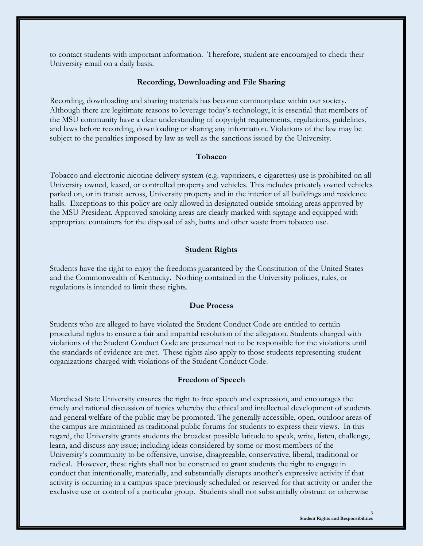to contact students with important information. Therefore, student are encouraged to check their University email on a daily basis.

#### **Recording, Downloading and File Sharing**

Recording, downloading and sharing materials has become commonplace within our society. Although there are legitimate reasons to leverage today's technology, it is essential that members of the MSU community have a clear understanding of copyright requirements, regulations, guidelines, and laws before recording, downloading or sharing any information. Violations of the law may be subject to the penalties imposed by law as well as the sanctions issued by the University.

#### **Tobacco**

Tobacco and electronic nicotine delivery system (e.g. vaporizers, e-cigarettes) use is prohibited on all University owned, leased, or controlled property and vehicles. This includes privately owned vehicles parked on, or in transit across, University property and in the interior of all buildings and residence halls. Exceptions to this policy are only allowed in designated outside smoking areas approved by the MSU President. Approved smoking areas are clearly marked with signage and equipped with appropriate containers for the disposal of ash, butts and other waste from tobacco use.

#### **Student Rights**

Students have the right to enjoy the freedoms guaranteed by the Constitution of the United States and the Commonwealth of Kentucky. Nothing contained in the University policies, rules, or regulations is intended to limit these rights.

#### **Due Process**

Students who are alleged to have violated the Student Conduct Code are entitled to certain procedural rights to ensure a fair and impartial resolution of the allegation. Students charged with violations of the Student Conduct Code are presumed not to be responsible for the violations until the standards of evidence are met. These rights also apply to those students representing student organizations charged with violations of the Student Conduct Code.

#### **Freedom of Speech**

Morehead State University ensures the right to free speech and expression, and encourages the timely and rational discussion of topics whereby the ethical and intellectual development of students and general welfare of the public may be promoted. The generally accessible, open, outdoor areas of the campus are maintained as traditional public forums for students to express their views. In this regard, the University grants students the broadest possible latitude to speak, write, listen, challenge, learn, and discuss any issue; including ideas considered by some or most members of the University's community to be offensive, unwise, disagreeable, conservative, liberal, traditional or radical. However, these rights shall not be construed to grant students the right to engage in conduct that intentionally, materially, and substantially disrupts another's expressive activity if that activity is occurring in a campus space previously scheduled or reserved for that activity or under the exclusive use or control of a particular group. Students shall not substantially obstruct or otherwise